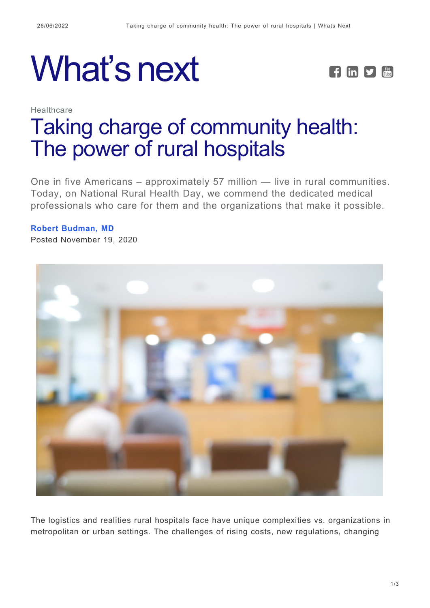



## **Healthcare** [Taking charge of community health:](https://whatsnext.nuance.com/healthcare/the-power-of-rural-hospitals/) [The power of rural hospitals](https://whatsnext.nuance.com/healthcare/the-power-of-rural-hospitals/)

One in five Americans – approximately 57 million — live in rural communities. Today, on National Rural Health Day, we commend the dedicated medical professionals who care for them and the organizations that make it possible.

## **[Robert Budman, MD](https://whatsnext.nuance.com/author/rbudman/)**

Posted November 19, 2020



The logistics and realities rural hospitals face have unique complexities vs. organizations in metropolitan or urban settings. The challenges of rising costs, new regulations, changing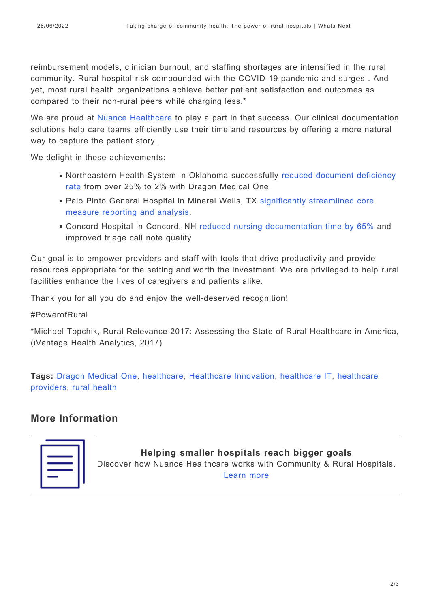reimbursement models, clinician burnout, and staffing shortages are intensified in the rural community. Rural hospital risk compounded with the COVID-19 pandemic and surges . And yet, most rural health organizations achieve better patient satisfaction and outcomes as compared to their non-rural peers while charging less.\*

We are proud at [Nuance Healthcare](https://www.nuance.com/healthcare/community-rural-hospital-solutions.html?cid=7010W000002TDT6QAO&utm_campaign=DHM-SO-20201119-National_Rural_Health_Day_2023&utm_medium=Website&utm_source=blog) to play a part in that success. Our clinical documentation solutions help care teams efficiently use their time and resources by offering a more natural way to capture the patient story.

We delight in these achievements:

- Northeastern Health System in Oklahoma successfully [reduced document deficiency](https://www.nuance.com/content/dam/nuance/en_us/collateral/healthcare/case-study/cs-dmo-northeastern-health-system-en-us.pdf?cid=7010W000002TDT6QAO&utm_campaign=DHM-SO-20201119-National_Rural_Health_Day_2020&utm_medium=Website&utm_source=blog) [rate](https://www.nuance.com/content/dam/nuance/en_us/collateral/healthcare/case-study/cs-dmo-northeastern-health-system-en-us.pdf?cid=7010W000002TDT6QAO&utm_campaign=DHM-SO-20201119-National_Rural_Health_Day_2020&utm_medium=Website&utm_source=blog) from over 25% to 2% with Dragon Medical One.
- Palo Pinto General Hospital in Mineral Wells, TX [significantly streamlined core](https://www.nuance.com/content/dam/nuance/en_us/collateral/healthcare/case-study/cs-palo-pinto-general-hospital-en-us.pdf?cid=7010W000002TDT6QAO&utm_campaign=DHM-SO-20201119-National_Rural_Health_Day_2020&utm_medium=Website&utm_source=blog) [measure reporting and analysis](https://www.nuance.com/content/dam/nuance/en_us/collateral/healthcare/case-study/cs-palo-pinto-general-hospital-en-us.pdf?cid=7010W000002TDT6QAO&utm_campaign=DHM-SO-20201119-National_Rural_Health_Day_2020&utm_medium=Website&utm_source=blog).
- Concord Hospital in Concord, NH [reduced nursing documentation time by 65%](https://www.nuance.com/content/dam/nuance/en_us/collateral/healthcare/case-study/cs-dragon-medical-one-concord-hospital-en-us.pdf?cid=7010W000002TDT6QAO&utm_campaign=DHM-SO-20201119-National_Rural_Health_Day_2023&utm_medium=Website&utm_source=blog) and improved triage call note quality

Our goal is to empower providers and staff with tools that drive productivity and provide resources appropriate for the setting and worth the investment. We are privileged to help rural facilities enhance the lives of caregivers and patients alike.

Thank you for all you do and enjoy the well-deserved recognition!

#PowerofRural

\*Michael Topchik, Rural Relevance 2017: Assessing the State of Rural Healthcare in America, (iVantage Health Analytics, 2017)

**Tags:** [Dragon Medical One,](https://whatsnext.nuance.com/tag/dragon-medical-one-2/) [healthcare](https://whatsnext.nuance.com/tag/healthcare/), [Healthcare Innovation](https://whatsnext.nuance.com/tag/healthcare-innovation/), [healthcare IT,](https://whatsnext.nuance.com/tag/healthcare-it/) [healthcare](https://whatsnext.nuance.com/tag/healthcare-providers/) [providers](https://whatsnext.nuance.com/tag/healthcare-providers/), [rural health](https://whatsnext.nuance.com/tag/rural-health/)

## **More Information**

**Helping smaller hospitals reach bigger goals** Discover how Nuance Healthcare works with Community & Rural Hospitals. [Learn more](https://www.nuance.com/healthcare/community-rural-hospital-solutions.html?cid=7010W000002TDT6QAO&utm_campaign=DHM-SO-20201119-National_Rural_Health_Day_2023&utm_medium=Website&utm_source=blog)